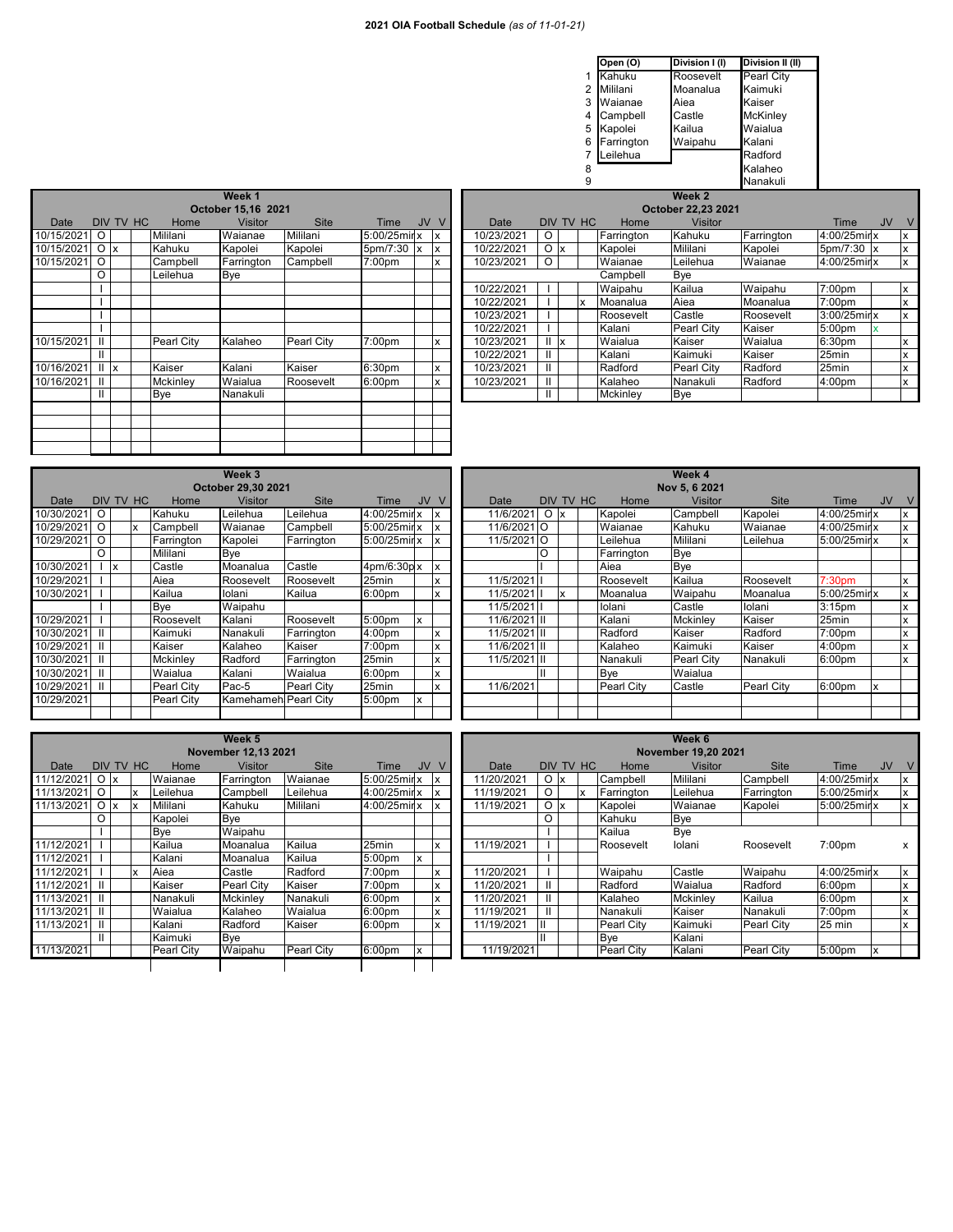|   | Open (O)   | Division I (I) | Division II (II)  |
|---|------------|----------------|-------------------|
|   | Kahuku     | Roosevelt      | <b>Pearl City</b> |
| 2 | Mililani   | Moanalua       | Kaimuki           |
| 3 | Waianae    | Aiea           | Kaiser            |
| 4 | Campbell   | Castle         | <b>McKinley</b>   |
| 5 | Kapolei    | Kailua         | Waialua           |
| 6 | Farrington | Waipahu        | Kalani            |
|   | Leilehua   |                | Radford           |
| 8 |            |                | Kalaheo           |
| 9 |            |                | Nanakuli          |

|            |                 |           |            | Week 1             |             |                    |           |              |            |              |                        |   |            | <b>We</b>  |
|------------|-----------------|-----------|------------|--------------------|-------------|--------------------|-----------|--------------|------------|--------------|------------------------|---|------------|------------|
|            |                 |           |            |                    |             |                    |           |              |            |              |                        |   |            |            |
|            |                 |           |            | October 15,16 2021 |             |                    |           |              |            |              |                        |   |            | October 2  |
| Date       |                 | DIV TV HC | Home       | <b>Visitor</b>     | <b>Site</b> | Time               | <b>JV</b> | <sub>V</sub> | Date       |              | DIV TV HC              |   | Home       |            |
| 10/15/2021 | O               |           | Mililani   | Waianae            | Mililani    | 5:00/25mirlx       |           | Ιx           | 10/23/2021 | $\Omega$     |                        |   | Farrington | Kar        |
| 10/15/2021 | O <sub>x</sub>  |           | Kahuku     | Kapolei            | Kapolei     | 5pm/7:30           | 1x        | Ιx           | 10/22/2021 | O            | $\mathsf{I}\mathsf{x}$ |   | Kapolei    | Mili       |
| 10/15/2021 | O               |           | Campbell   | Farrington         | Campbell    | 7:00pm             |           | x            | 10/23/2021 | O            |                        |   | Waianae    | Leil       |
|            | O               |           | Leilehua   | Bye                |             |                    |           |              |            |              |                        |   | Campbell   | Bye        |
|            |                 |           |            |                    |             |                    |           |              | 10/22/2021 |              |                        |   | Waipahu    | Kail       |
|            |                 |           |            |                    |             |                    |           |              | 10/22/2021 |              |                        | X | Moanalua   | Aie        |
|            |                 |           |            |                    |             |                    |           |              | 10/23/2021 |              |                        |   | Roosevelt  | Cas        |
|            |                 |           |            |                    |             |                    |           |              | 10/22/2021 |              |                        |   | Kalani     | Pea        |
| 10/15/2021 | Ш               |           | Pearl City | Kalaheo            | Pearl City  | 7:00pm             |           | X            | 10/23/2021 | Ш            | <b>Ix</b>              |   | Waialua    | Kai:       |
|            | Ш               |           |            |                    |             |                    |           |              | 10/22/2021 | Ш            |                        |   | Kalani     | Kai        |
| 10/16/2021 | $   \mathbf{x}$ |           | Kaiser     | Kalani             | Kaiser      | 6:30pm             |           | X            | 10/23/2021 | Ш            |                        |   | Radford    | Pea        |
| 10/16/2021 | Ш               |           | Mckinley   | Waialua            | Roosevelt   | 6:00 <sub>pm</sub> |           | x            | 10/23/2021 | Ш            |                        |   | Kalaheo    | Nar        |
|            | Ш.              |           | Bye        | Nanakuli           |             |                    |           |              |            | $\mathbf{H}$ |                        |   | Mckinley   | <b>Bye</b> |
|            |                 |           |            |                    |             |                    |           |              |            |              |                        |   |            |            |
|            |                 |           |            |                    |             |                    |           |              |            |              |                        |   |            |            |
|            |                 |           |            |                    |             |                    |           |              |            |              |                        |   |            |            |
|            |                 |           |            |                    |             |                    |           |              |            |              |                        |   |            |            |

|              | Week 1         |           |  |                 |                    |             |                    |           |    |                    |            | Week 2         |  |           |            |                   |            |                    |           |   |  |  |  |
|--------------|----------------|-----------|--|-----------------|--------------------|-------------|--------------------|-----------|----|--------------------|------------|----------------|--|-----------|------------|-------------------|------------|--------------------|-----------|---|--|--|--|
|              |                |           |  |                 | October 15.16 2021 |             |                    |           |    | October 22.23 2021 |            |                |  |           |            |                   |            |                    |           |   |  |  |  |
| Date         |                | DIV TV HC |  | Home            | <b>Visitor</b>     | <b>Site</b> | Time               | <b>JV</b> | V  |                    | Date       |                |  | DIV TV HC | Home       | <b>Visitor</b>    |            | Time               | <b>JV</b> | V |  |  |  |
| 10/15/2021   | $\circ$        |           |  | Mililani        | Waianae            | Mililani    | 5:00/25mir x       |           | ΙX |                    | 10/23/2021 | O              |  |           | Farrington | Kahuku            | Farrington | 4:00/25mirlx       |           |   |  |  |  |
| 10/15/2021   | O <sub>x</sub> |           |  | Kahuku          | Kapolei            | Kapolei     | $5pm/7:30$   x     |           | x  |                    | 10/22/2021 | O <sub>x</sub> |  |           | Kapolei    | Mililani          | Kapolei    | 5pm/7:30 x         |           |   |  |  |  |
| 10/15/2021 O |                |           |  | Campbell        | Farrington         | Campbell    | 7:00pm             |           | x  |                    | 10/23/2021 | $\Omega$       |  |           | Waianae    | Leilehua          | Waianae    | 4:00/25mirlx       |           | X |  |  |  |
|              |                |           |  | Leilehua        | Bye                |             |                    |           |    |                    |            |                |  |           | Campbell   | Bye               |            |                    |           |   |  |  |  |
|              |                |           |  |                 |                    |             |                    |           |    |                    | 10/22/2021 |                |  |           | Waipahu    | Kailua            | Waipahu    | 7:00pm             |           | x |  |  |  |
|              |                |           |  |                 |                    |             |                    |           |    |                    | 10/22/2021 |                |  | x         | Moanalua   | Aiea              | Moanalua   | 7:00 <sub>pm</sub> |           | x |  |  |  |
|              |                |           |  |                 |                    |             |                    |           |    |                    | 10/23/2021 |                |  |           | Roosevelt  | Castle            | Roosevelt  | 3:00/25mirlx       |           | x |  |  |  |
|              |                |           |  |                 |                    |             |                    |           |    |                    | 10/22/2021 |                |  |           | Kalani     | <b>Pearl City</b> | Kaiser     | 5:00pm             |           |   |  |  |  |
| 10/15/2021   | $\mathbf{II}$  |           |  | Pearl City      | Kalaheo            | Pearl City  | 7:00pm             |           | x  |                    | 10/23/2021 | x              |  |           | Waialua    | Kaiser            | Waialua    | 6:30pm             |           | x |  |  |  |
|              | Ш              |           |  |                 |                    |             |                    |           |    |                    | 10/22/2021 | Ш              |  |           | Kalani     | Kaimuki           | Kaiser     | 25min              |           | x |  |  |  |
| 10/16/2021   | $   \cdot   $  |           |  | Kaiser          | Kalani             | Kaiser      | 6:30 <sub>pm</sub> |           | x  |                    | 10/23/2021 | Ш              |  |           | Radford    | <b>Pearl City</b> | Radford    | 25min              |           | x |  |  |  |
| 10/16/2021   | LШ             |           |  | <b>Mckinley</b> | Waialua            | Roosevelt   | 6:00 <sub>pm</sub> |           | x  |                    | 10/23/2021 | $\mathbf{H}$   |  |           | Kalaheo    | Nanakuli          | Radford    | 4:00 <sub>pm</sub> |           | X |  |  |  |
|              | Ш              |           |  | Bye             | Nanakuli           |             |                    |           |    |                    |            | Ш              |  |           | Mckinley   | Bye               |            |                    |           |   |  |  |  |
|              |                |           |  |                 |                    |             |                    |           |    |                    |            |                |  |           |            |                   |            |                    |           |   |  |  |  |

| Week 3     |   |                    |           |                 |                      |             |                    |           | Week 4 |  |              |                |           |         |            |                   |            |                    |  |
|------------|---|--------------------|-----------|-----------------|----------------------|-------------|--------------------|-----------|--------|--|--------------|----------------|-----------|---------|------------|-------------------|------------|--------------------|--|
|            |   | October 29,30 2021 |           |                 | Nov 5, 6 2021        |             |                    |           |        |  |              |                |           |         |            |                   |            |                    |  |
| Date       |   |                    | DIV TV HC | Home            | Visitor              | <b>Site</b> | Time               | <b>JV</b> |        |  | Date         |                | DIV TV HC |         | Home       | Visitor           | Site       | Time               |  |
| 10/30/2021 | O |                    |           | Kahuku          | Leilehua             | Leilehua    | 4:00/25mir x       |           | ΙX     |  | 11/6/2021    | O <sub>x</sub> |           | Kapolei |            | Campbell          | Kapolei    | 4:00/25mir)        |  |
| 10/29/2021 | O |                    |           | Campbell        | Waianae              | Campbell    | 5:00/25mir x       |           | X      |  | 11/6/2021 O  |                |           |         | Waianae    | Kahuku            | Waianae    | 4:00/25mir)        |  |
| 10/29/2021 | O |                    |           | Farrington      | Kapolei              | Farrington  | 5:00/25mir x       |           | ΙX     |  | 11/5/2021 O  |                |           |         | Leilehua   | Mililani          | Leilehua   | 5:00/25mirly       |  |
|            | O |                    |           | Mililani        | Bye                  |             |                    |           |        |  |              |                |           |         | Farrington | <b>Bye</b>        |            |                    |  |
| 10/30/2021 |   | x                  |           | Castle          | Moanalua             | Castle      | 4pm/6:30p x        |           | X      |  |              |                |           | Aiea    |            | Bye               |            |                    |  |
| 10/29/2021 |   |                    |           | Aiea            | Roosevelt            | Roosevelt   | 25min              |           | x      |  | 11/5/2021    |                |           |         | Roosevelt  | Kailua            | Roosevelt  | 7:30pm             |  |
| 10/30/2021 |   |                    |           | Kailua          | lolani               | Kailua      | 6:00 <sub>pm</sub> |           | x      |  | 11/5/2021    |                |           |         | Moanalua   | Waipahu           | Moanalua   | 5:00/25mirl>       |  |
|            |   |                    |           | Bye             | Waipahu              |             |                    |           |        |  | 11/5/2021    |                |           | lolani  |            | Castle            | Iolani     | 3:15 <sub>pm</sub> |  |
| 10/29/2021 |   |                    |           | Roosevelt       | Kalani               | Roosevelt   | 5:00pm             | x         |        |  | 11/6/2021 II |                |           | Kalani  |            | Mckinley          | Kaiser     | 25min              |  |
| 10/30/2021 | Ш |                    |           | Kaimuki         | Nanakuli             | Farrington  | 4:00 <sub>pm</sub> |           | X      |  | 11/5/2021 II |                |           | Radford |            | Kaiser            | Radford    | 7:00pm             |  |
| 10/29/2021 |   |                    |           | Kaiser          | Kalaheo              | Kaiser      | 7:00pm             |           | X      |  | 11/6/2021 II |                |           |         | Kalaheo    | Kaimuki           | Kaiser     | 4:00pm             |  |
| 10/30/2021 | Ш |                    |           | <b>Mckinlev</b> | Radford              | Farrington  | 25min              |           | x      |  | 11/5/2021 II |                |           |         | Nanakuli   | <b>Pearl City</b> | Nanakuli   | 6:00pm             |  |
| 10/30/2021 | Ш |                    |           | Waialua         | Kalani               | Waialua     | 6:00 <sub>pm</sub> |           | x      |  |              | Ш              |           | Bye     |            | Waialua           |            |                    |  |
| 10/29/2021 | Ш |                    |           | Pearl City      | Pac-5                | Pearl City  | 25min              |           | x      |  | 11/6/2021    |                |           |         | Pearl City | Castle            | Pearl City | 6:00pm             |  |
| 10/29/2021 |   |                    |           | Pearl City      | Kamehameh Pearl City |             | 5:00pm             | x         |        |  |              |                |           |         |            |                   |            |                    |  |
|            |   |                    |           |                 |                      |             |                    |           |        |  |              |                |           |         |            |                   |            |                    |  |

|            |               |           |                           |                   | Week 3               |             |                    |           |    |               |                |          |           |            | Week 4     |             |                    |           |   |  |  |  |
|------------|---------------|-----------|---------------------------|-------------------|----------------------|-------------|--------------------|-----------|----|---------------|----------------|----------|-----------|------------|------------|-------------|--------------------|-----------|---|--|--|--|
|            |               |           |                           |                   | October 29,30 2021   |             |                    |           |    | Nov 5, 6 2021 |                |          |           |            |            |             |                    |           |   |  |  |  |
| Date       |               | DIV TV HC |                           | Home              | <b>Visitor</b>       | <b>Site</b> | Time               | <b>JV</b> | V  | Date          |                |          | DIV TV HC | Home       | Visitor    | <b>Site</b> | Time               | <b>JV</b> |   |  |  |  |
| 10/30/2021 | O             |           |                           | Kahuku            | Leilehua             | Leilehua    | 4:00/25mirlx       |           |    | 11/6/2021     | O <sub>x</sub> |          |           | Kapolei    | Campbell   | Kapolei     | 4:00/25mir x       |           |   |  |  |  |
| 10/29/2021 | $\Omega$      |           | $\boldsymbol{\mathsf{x}}$ | Campbell          | Waianae              | Campbell    | 5:00/25mir x       |           |    | 11/6/2021 O   |                |          |           | Waianae    | Kahuku     | Waianae     | 4:00/25mir x       |           |   |  |  |  |
| 10/29/2021 | $\circ$       |           |                           | Farrington        | Kapolei              | Farrington  | 5:00/25mir x       |           |    | 11/5/2021 O   |                |          |           | Leilehua   | Mililani   | Leilehua    | 5:00/25mirlx       |           |   |  |  |  |
|            | O             |           |                           | Mililani          | Bye                  |             |                    |           |    |               |                |          |           | Farrington | <b>Bye</b> |             |                    |           |   |  |  |  |
| 10/30/2021 |               | Ιx        |                           | Castle            | Moanalua             | Castle      | 4pm/6:30p x        |           | ιX |               |                |          |           | Aiea       | Bye        |             |                    |           |   |  |  |  |
| 10/29/2021 |               |           |                           | Aiea              | Roosevelt            | Roosevelt   | 25min              |           | x  | 11/5/2021 II  |                |          |           | Roosevelt  | Kailua     | Roosevelt   | 7:30 <sub>pm</sub> |           | x |  |  |  |
| 10/30/2021 |               |           |                           | Kailua            | lolani               | Kailua      | 6:00 <sub>pm</sub> |           | x  | 11/5/2021     |                | <b>X</b> |           | Moanalua   | Waipahu    | Moanalua    | 5:00/25mir x       |           | x |  |  |  |
|            |               |           |                           | Bye               | Waipahu              |             |                    |           |    | 11/5/2021     |                |          |           | lolani     | Castle     | lolani      | 3:15 <sub>pm</sub> |           | x |  |  |  |
| 10/29/2021 |               |           |                           | Roosevelt         | Kalani               | Roosevelt   | 5:00 <sub>pm</sub> |           |    | 11/6/2021 III |                |          |           | Kalani     | Mckinlev   | Kaiser      | 25min              |           | X |  |  |  |
| 10/30/2021 | $\mathbf{II}$ |           |                           | Kaimuki           | Nanakuli             | Farrington  | 4:00 <sub>pm</sub> |           | x  | 11/5/2021 III |                |          |           | Radford    | Kaiser     | Radford     | 7:00pm             |           | X |  |  |  |
| 10/29/2021 | $\mathbf{I}$  |           |                           | Kaiser            | Kalaheo              | Kaiser      | 7:00pm             |           | x  | 11/6/2021 III |                |          |           | Kalaheo    | Kaimuki    | Kaiser      | 4:00pm             |           | X |  |  |  |
| 10/30/2021 | $\mathbf{I}$  |           |                           | Mckinlev          | Radford              | Farrington  | 25min              |           | x  | 11/5/2021 III |                |          |           | Nanakuli   | Pearl City | Nanakuli    | 6:00pm             |           | X |  |  |  |
| 10/30/2021 | $\mathbf{I}$  |           |                           | Waialua           | Kalani               | Waialua     | 6:00 <sub>pm</sub> |           | x  |               |                |          |           | Bye        | Waialua    |             |                    |           |   |  |  |  |
| 10/29/2021 | $\mathbf{I}$  |           |                           | <b>Pearl City</b> | Pac-5                | Pearl City  | 25min              |           | x  | 11/6/2021     |                |          |           | Pearl City | Castle     | Pearl City  | 6:00pm             | x         |   |  |  |  |
| 10/29/2021 |               |           |                           | Pearl City        | Kamehameh Pearl City |             | 5:00pm             |           |    |               |                |          |           |            |            |             |                    |           |   |  |  |  |
|            |               |           |                           |                   |                      |             |                    |           |    |               |                |          |           |            |            |             |                    |           |   |  |  |  |

|            |   |                |              |                   | Week 5              |                   |                    |           |   | Week 6              |           |   |  |            |                |                   |                    |  |  |  |  |  |  |
|------------|---|----------------|--------------|-------------------|---------------------|-------------------|--------------------|-----------|---|---------------------|-----------|---|--|------------|----------------|-------------------|--------------------|--|--|--|--|--|--|
|            |   |                |              |                   | November 12.13 2021 |                   |                    |           |   | November 19.20 2021 |           |   |  |            |                |                   |                    |  |  |  |  |  |  |
| Date       |   |                | DIV TV HC    | Home              | <b>Visitor</b>      | <b>Site</b>       | Time               | <b>JV</b> |   | Date                | DIV TV HC |   |  | Home       | <b>Visitor</b> | <b>Site</b>       | Time               |  |  |  |  |  |  |
| 11/12/2021 |   | O <sub>x</sub> |              | Waianae           | Farrington          | Waianae           | 5:00/25mirlx       |           | x | 11/20/2021          | O         | x |  | Campbell   | Mililani       | Campbell          | 4:00/25mir)        |  |  |  |  |  |  |
| 11/13/2021 | O |                | $\mathsf{x}$ | Leilehua          | Campbell            | Leilehua          | 4:00/25mir x       |           |   | 11/19/2021          | O         |   |  | Farrington | Leilehua       | Farrington        | 5:00/25mir)        |  |  |  |  |  |  |
| 11/13/2021 |   | O Ix           | x            | Mililani          | Kahuku              | Mililani          | 4:00/25mir x       |           | x | 11/19/2021          | O         | x |  | Kapolei    | Waianae        | Kapolei           | 5:00/25mirl>       |  |  |  |  |  |  |
|            | O |                |              | Kapolei           | Bye                 |                   |                    |           |   |                     | O         |   |  | Kahuku     | Bye            |                   |                    |  |  |  |  |  |  |
|            |   |                |              | Bye               | Waipahu             |                   |                    |           |   |                     |           |   |  | Kailua     | Bye            |                   |                    |  |  |  |  |  |  |
| 11/12/2021 |   |                |              | Kailua            | Moanalua            | Kailua            | 25min              |           | x | 11/19/2021          |           |   |  | Roosevelt  | lolani         | Roosevelt         | 7:00pm             |  |  |  |  |  |  |
| 11/12/2021 |   |                |              | Kalani            | Moanalua            | Kailua            | 5:00pm             | x         |   |                     |           |   |  |            |                |                   |                    |  |  |  |  |  |  |
| 11/12/2021 |   |                | $\mathsf{x}$ | Aiea              | Castle              | Radford           | 7:00pm             |           | x | 11/20/2021          |           |   |  | Waipahu    | Castle         | Waipahu           | 4:00/25mir)        |  |  |  |  |  |  |
| 11/12/2021 | Ш |                |              | Kaiser            | Pearl City          | Kaiser            | 7:00pm             |           | x | 11/20/2021          |           |   |  | Radford    | Waialua        | Radford           | 6:00pm             |  |  |  |  |  |  |
| 11/13/2021 | Ш |                |              | Nanakuli          | Mckinley            | Nanakuli          | 6:00pm             |           | x | 11/20/2021          |           |   |  | Kalaheo    | Mckinley       | Kailua            | 6:00 <sub>pm</sub> |  |  |  |  |  |  |
| 11/13/2021 | Ш |                |              | Waialua           | Kalaheo             | Waialua           | 6:00pm             |           | x | 11/19/2021          |           |   |  | Nanakuli   | Kaiser         | Nanakuli          | 7:00pm             |  |  |  |  |  |  |
| 11/13/2021 | Ш |                |              | Kalani            | Radford             | Kaiser            | 6:00pm             |           | x | 11/19/2021          |           |   |  | Pearl City | Kaimuki        | <b>Pearl City</b> | 25 min             |  |  |  |  |  |  |
|            | Ш |                |              | Kaimuki           | Bye                 |                   |                    |           |   |                     |           |   |  | Bye        | Kalani         |                   |                    |  |  |  |  |  |  |
| 11/13/2021 |   |                |              | <b>Pearl City</b> | Waipahu             | <b>Pearl City</b> | 6:00 <sub>pm</sub> | <b>X</b>  |   | 11/19/2021          |           |   |  | Pearl City | Kalani         | <b>Pearl City</b> | 5:00pm             |  |  |  |  |  |  |
|            |   |                |              |                   |                     |                   |                    |           |   |                     |           |   |  |            |                |                   |                    |  |  |  |  |  |  |

| November 12.13 2021<br>November 19.20 2021<br>DIV TV HC<br><b>JV</b><br><b>JV</b><br><b>Site</b><br>DIV TV HC<br>Time<br>Date<br><b>Site</b><br>Date<br><b>Visitor</b><br>V<br>Time<br><b>Visitor</b><br>Home<br>Home<br>O <sub>x</sub><br>Waianae<br>O <sub>x</sub><br>11/12/2021<br><b>IFarrington</b><br>Campbell<br><b>Campbell</b><br>4:00/25mirlx<br>Waianae<br>5:00/25min x<br>11/20/2021<br>Mililani<br>O<br>11/13/2021<br>4:00/25mirlx<br>5:00/25mirlx<br>$\circ$<br>Leilehua<br>11/19/2021<br>Farrington<br>Campbell<br>Leilehua<br>Leilehua<br>Farrington<br>X<br>X<br>O <sub>x</sub><br>O <sub>x</sub><br>11/13/2021<br>Mililani<br>4:00/25mir x<br>11/19/2021<br>Waianae<br>5:00/25mir x<br>Kahuku<br>Mililani<br>Kapolei<br>Kapolei<br>O<br>Bye<br>Kahuku<br>Bye<br>Kapolei |              |
|-------------------------------------------------------------------------------------------------------------------------------------------------------------------------------------------------------------------------------------------------------------------------------------------------------------------------------------------------------------------------------------------------------------------------------------------------------------------------------------------------------------------------------------------------------------------------------------------------------------------------------------------------------------------------------------------------------------------------------------------------------------------------------------------|--------------|
|                                                                                                                                                                                                                                                                                                                                                                                                                                                                                                                                                                                                                                                                                                                                                                                           |              |
|                                                                                                                                                                                                                                                                                                                                                                                                                                                                                                                                                                                                                                                                                                                                                                                           |              |
|                                                                                                                                                                                                                                                                                                                                                                                                                                                                                                                                                                                                                                                                                                                                                                                           | x            |
|                                                                                                                                                                                                                                                                                                                                                                                                                                                                                                                                                                                                                                                                                                                                                                                           | X            |
|                                                                                                                                                                                                                                                                                                                                                                                                                                                                                                                                                                                                                                                                                                                                                                                           | X            |
|                                                                                                                                                                                                                                                                                                                                                                                                                                                                                                                                                                                                                                                                                                                                                                                           |              |
| Waipahu<br>Kailua<br>Bye<br>Bye                                                                                                                                                                                                                                                                                                                                                                                                                                                                                                                                                                                                                                                                                                                                                           |              |
| Kailua<br>25min<br>11/12/2021<br>Kailua<br>11/19/2021<br>Moanalua<br>7:00pm<br>lolani<br>Roosevelt<br>Roosevelt<br>X                                                                                                                                                                                                                                                                                                                                                                                                                                                                                                                                                                                                                                                                      | x            |
| 11/12/2021<br>Kalani<br>Kailua<br>5:00pm<br>Moanalua                                                                                                                                                                                                                                                                                                                                                                                                                                                                                                                                                                                                                                                                                                                                      |              |
| Castle<br>4:00/25mirlx<br>Aiea<br>Waipahu<br>7:00 <sub>pm</sub><br>11/20/2021<br>Waipahu<br>11/12/2021<br>Radford<br>Castle<br>X<br>X                                                                                                                                                                                                                                                                                                                                                                                                                                                                                                                                                                                                                                                     | x            |
| $\blacksquare$<br>Kaiser<br>Ш<br>Radford<br>6:00pm<br>Radford<br>11/12/2021<br>7:00pm<br>Kaiser<br><b>Pearl City</b><br>11/20/2021<br>Waialua<br>x                                                                                                                                                                                                                                                                                                                                                                                                                                                                                                                                                                                                                                        | x            |
| <b>Mckinlev</b><br>6:00pm<br>11/13/2021<br>$\mathbf{H}$<br>Nanakuli<br>6:00 <sub>pm</sub><br><b>Mckinlev</b><br>11/20/2021<br>Ш<br>Kailua<br>Kalaheo<br>Nanakuli<br>x                                                                                                                                                                                                                                                                                                                                                                                                                                                                                                                                                                                                                     |              |
| 7:00pm<br>11/13/2021<br>LШ<br>6:00 <sub>pm</sub><br>Ш<br>Kalaheo<br>Waialua<br>11/19/2021<br>Kaiser<br>Waialua<br>Nanakuli<br>Nanakuli<br>x                                                                                                                                                                                                                                                                                                                                                                                                                                                                                                                                                                                                                                               | X            |
| <b>II</b><br>Kaimuki<br>25 min<br>11/13/2021<br>Kalani<br>Radford<br>Kaiser<br>11/19/2021<br>Ш<br>6:00 <sub>pm</sub><br>Pearl City<br>Pearl City<br>x                                                                                                                                                                                                                                                                                                                                                                                                                                                                                                                                                                                                                                     | $\checkmark$ |
| <b>Bye</b><br>Ш<br>Bye<br>Kalani<br>Kaimuki                                                                                                                                                                                                                                                                                                                                                                                                                                                                                                                                                                                                                                                                                                                                               |              |
| 11/13/2021<br><b>Pearl City</b><br>6:00 <sub>pm</sub><br>5:00pm<br>Waipahu<br>11/19/2021<br>Kalani<br>Pearl City<br>Pearl City<br>Pearl City<br>X<br>Ιx                                                                                                                                                                                                                                                                                                                                                                                                                                                                                                                                                                                                                                   |              |